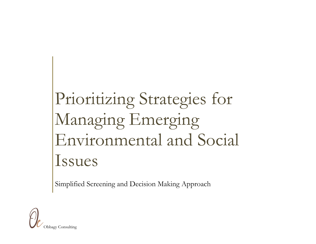## Prioritizing Strategies for Managing Emerging Environmental and Social Issues

Simplified Screening and Decision Making Approach

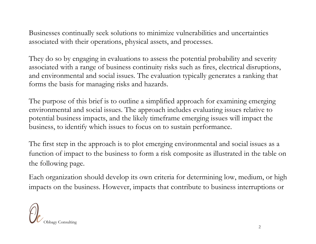Businesses continually seek solutions to minimize vulnerabilities and uncertainties associated with their operations, physical assets, and processes.

They do so by engaging in evaluations to assess the potential probability and severity associated with a range of business continuity risks such as fires, electrical disruptions, and environmental and social issues. The evaluation typically generates a ranking that forms the basis for managing risks and hazards.

The purpose of this brief is to outline a simplified approach for examining emerging environmental and social issues. The approach includes evaluating issues relative to potential business impacts, and the likely timeframe emerging issues will impact the business, to identify which issues to focus on to sustain performance.

The first step in the approach is to plot emerging environmental and social issues as a function of impact to the business to form a risk composite as illustrated in the table on the following page.

Each organization should develop its own criteria for determining low, medium, or high impacts on the business. However, impacts that contribute to business interruptions or

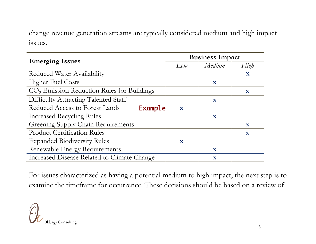change revenue generation streams are typically considered medium and high impact issues.

|                                                        | <b>Business Impact</b> |              |              |
|--------------------------------------------------------|------------------------|--------------|--------------|
| <b>Emerging Issues</b>                                 | Low                    | Medium       | High         |
| Reduced Water Availability                             |                        |              | X            |
| <b>Higher Fuel Costs</b>                               |                        | $\mathbf X$  |              |
| CO <sub>2</sub> Emission Reduction Rules for Buildings |                        |              | $\mathbf{x}$ |
| Difficulty Attracting Talented Staff                   |                        | $\mathbf{X}$ |              |
| Reduced Access to Forest Lands<br>Example              | X                      |              |              |
| <b>Increased Recycling Rules</b>                       |                        | $\mathbf{x}$ |              |
| <b>Greening Supply Chain Requirements</b>              |                        |              | $\mathbf{X}$ |
| <b>Product Certification Rules</b>                     |                        |              | $\mathbf X$  |
| <b>Expanded Biodiversity Rules</b>                     | X                      |              |              |
| Renewable Energy Requirements                          |                        | $\mathbf X$  |              |
| Increased Disease Related to Climate Change            |                        | $\mathbf x$  |              |

For issues characterized as having a potential medium to high impact, the next step is to examine the timeframe for occurrence. These decisions should be based on a review of

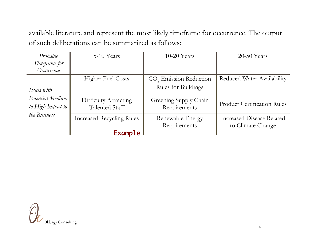available literature and represent the most likely timeframe for occurrence. The output of such deliberations can be summarized as follows:

| Probable<br>Timeframe for<br>Occurrence                              | 5-10 Years                                            | $10-20$ Years                         | $20-50$ Years                      |
|----------------------------------------------------------------------|-------------------------------------------------------|---------------------------------------|------------------------------------|
|                                                                      | <b>Higher Fuel Costs</b>                              | CO <sub>2</sub> Emission Reduction    | <b>Reduced Water Availability</b>  |
| Issues with<br>Potential Medium<br>to High Impact to<br>the Business |                                                       | Rules for Buildings                   |                                    |
|                                                                      | <b>Difficulty Attracting</b><br><b>Talented Staff</b> | Greening Supply Chain<br>Requirements | <b>Product Certification Rules</b> |
|                                                                      | <b>Increased Recycling Rules</b>                      | Renewable Energy                      | <b>Increased Disease Related</b>   |
|                                                                      | <b>Example</b>                                        | Requirements                          | to Climate Change                  |

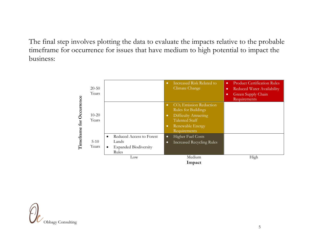The final step involves plotting the data to evaluate the impacts relative to the probable timeframe for occurrence for issues that have medium to high potential to impact the business: